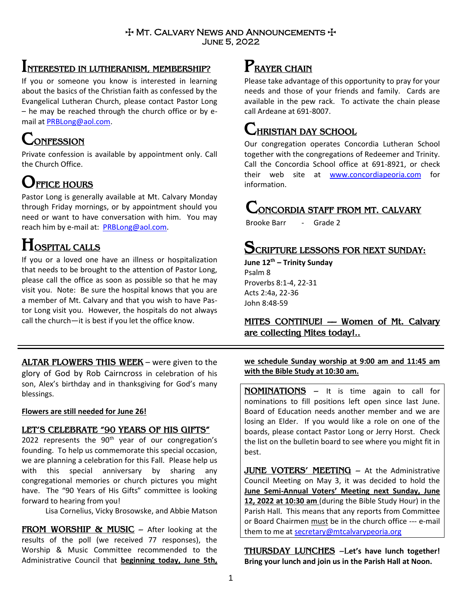### $+$  Mt. Calvary News and Announcements  $+$ June 5, 2022

## **INTERESTED IN LUTHERANISM, MEMBERSHIP?**

If you or someone you know is interested in learning about the basics of the Christian faith as confessed by the Evangelical Lutheran Church, please contact Pastor Long – he may be reached through the church office or by email at [PRBLong@aol.com.](mailto:PRBLong@aol.com)

# **CONFESSION**

Private confession is available by appointment only. Call the Church Office.

## **OFFICE HOURS**

Pastor Long is generally available at Mt. Calvary Monday through Friday mornings, or by appointment should you need or want to have conversation with him. You may reach him by e-mail at: [PRBLong@aol.com.](mailto:PRBLong@aol.com)

## **HOSPITAL CALLS**

If you or a loved one have an illness or hospitalization that needs to be brought to the attention of Pastor Long, please call the office as soon as possible so that he may visit you. Note: Be sure the hospital knows that you are a member of Mt. Calvary and that you wish to have Pastor Long visit you. However, the hospitals do not always call the church—it is best if you let the office know.

**ALTAR FLOWERS THIS WEEK** – were given to the glory of God by Rob Cairncross in celebration of his son, Alex's birthday and in thanksgiving for God's many blessings.

### **Flowers are still needed for June 26!**

### **LET'S CELEBRATE "90 YEARS OF HIS GIFTS"**

2022 represents the  $90<sup>th</sup>$  year of our congregation's founding. To help us commemorate this special occasion, we are planning a celebration for this Fall. Please help us with this special anniversary by sharing any congregational memories or church pictures you might have. The "90 Years of His Gifts" committee is looking forward to hearing from you!

Lisa Cornelius, Vicky Brosowske, and Abbie Matson

**FROM WORSHIP & MUSIC** – After looking at the results of the poll (we received 77 responses), the Worship & Music Committee recommended to the Administrative Council that **beginning today, June 5th,** 

# **PRAYER CHAIN**

Please take advantage of this opportunity to pray for your needs and those of your friends and family. Cards are available in the pew rack. To activate the chain please call Ardeane at 691-8007.

## **CHRISTIAN DAY SCHOOL**

Our congregation operates Concordia Lutheran School together with the congregations of Redeemer and Trinity. Call the Concordia School office at 691-8921, or check their web site at [www.concordiapeoria.com](http://www.concordiapeoria.com/) for information.

# **CONCORDIA STAFF FROM MT. CALVARY**

Brooke Barr - Grade 2

## **SCRIPTURE LESSONS FOR NEXT SUNDAY:**

**June 12th – Trinity Sunday** Psalm 8 Proverbs 8:1-4, 22-31 Acts 2:4a, 22-36 John 8:48-59

### **MITES CONTINUE! –– Women of Mt. Calvary are collecting Mites today!..**

**we schedule Sunday worship at 9:00 am and 11:45 am with the Bible Study at 10:30 am.**

**NOMINATIONS** – It is time again to call for nominations to fill positions left open since last June. Board of Education needs another member and we are losing an Elder. If you would like a role on one of the boards, please contact Pastor Long or Jerry Horst. Check the list on the bulletin board to see where you might fit in best.

**JUNE VOTERS' MEETING** – At the Administrative Council Meeting on May 3, it was decided to hold the **June Semi-Annual Voters' Meeting next Sunday, June 12, 2022 at 10:30 am** (during the Bible Study Hour) in the Parish Hall. This means that any reports from Committee or Board Chairmen must be in the church office --- e-mail them to me at [secretary@mtcalvarypeoria.org](mailto:secretary@mtcalvarypeoria.org)

**THURSDAY LUNCHES** –L**et's have lunch together! Bring your lunch and join us in the Parish Hall at Noon.**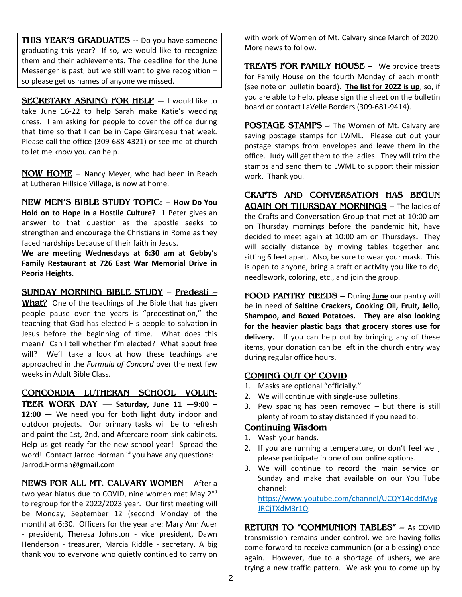**THIS YEAR'S GRADUATES** -- Do you have someone graduating this year? If so, we would like to recognize them and their achievements. The deadline for the June Messenger is past, but we still want to give recognition – so please get us names of anyone we missed.

**SECRETARY ASKING FOR HELP** — I would like to take June 16-22 to help Sarah make Katie's wedding dress. I am asking for people to cover the office during that time so that I can be in Cape Girardeau that week. Please call the office (309-688-4321) or see me at church to let me know you can help.

**NOW HOME** – Nancy Meyer, who had been in Reach at Lutheran Hillside Village, is now at home.

**NEW MEN'S BIBLE STUDY TOPIC:** -- **How Do You Hold on to Hope in a Hostile Culture?** 1 Peter gives an answer to that question as the apostle seeks to strengthen and encourage the Christians in Rome as they faced hardships because of their faith in Jesus.

**We are meeting Wednesdays at 6:30 am at Gebby's Family Restaurant at 726 East War Memorial Drive in Peoria Heights.** 

**SUNDAY MORNING BIBLE STUDY** – **Predesti –**

**What?** One of the teachings of the Bible that has given people pause over the years is "predestination," the teaching that God has elected His people to salvation in Jesus before the beginning of time. What does this mean? Can I tell whether I'm elected? What about free will? We'll take a look at how these teachings are approached in the *Formula of Concord* over the next few weeks in Adult Bible Class.

**CONCORDIA LUTHERAN SCHOOL VOLUN-TEER WORK DAY** — **Saturday, June 11 —9:00 – 12:00** — We need you for both light duty indoor and outdoor projects. Our primary tasks will be to refresh

and paint the 1st, 2nd, and Aftercare room sink cabinets. Help us get ready for the new school year! Spread the word! Contact Jarrod Horman if you have any questions: Jarrod.Horman@gmail.com

**NEWS FOR ALL MT. CALVARY WOMEN** -- After a two year hiatus due to COVID, nine women met May 2<sup>nd</sup> to regroup for the 2022/2023 year. Our first meeting will be Monday, September 12 (second Monday of the month) at 6:30. Officers for the year are: Mary Ann Auer - president, Theresa Johnston - vice president, Dawn Henderson - treasurer, Marcia Riddle - secretary. A big thank you to everyone who quietly continued to carry on with work of Women of Mt. Calvary since March of 2020. More news to follow.

**TREATS FOR FAMILY HOUSE -** We provide treats for Family House on the fourth Monday of each month (see note on bulletin board). **The list for 2022 is up**, so, if you are able to help, please sign the sheet on the bulletin board or contact LaVelle Borders (309-681-9414).

**POSTAGE STAMPS** – The Women of Mt. Calvary are saving postage stamps for LWML. Please cut out your postage stamps from envelopes and leave them in the office. Judy will get them to the ladies. They will trim the stamps and send them to LWML to support their mission work. Thank you.

**CRAFTS AND CONVERSATION HAS BEGUN AGAIN ON THURSDAY MORNINGS** – The ladies of the Crafts and Conversation Group that met at 10:00 am on Thursday mornings before the pandemic hit, have decided to meet again at 10:00 am on Thursdays**.** They will socially distance by moving tables together and sitting 6 feet apart. Also, be sure to wear your mask. This is open to anyone, bring a craft or activity you like to do, needlework, coloring, etc., and join the group.

**FOOD PANTRY NEEDS –** During **June** our pantry will be in need of **Saltine Crackers, Cooking Oil, Fruit, Jello, Shampoo, and Boxed Potatoes. They are also looking for the heavier plastic bags that grocery stores use for delivery**. If you can help out by bringing any of these items, your donation can be left in the church entry way during regular office hours.

### **COMING OUT OF COVID**

- 1. Masks are optional "officially."
- 2. We will continue with single-use bulletins.
- 3. Pew spacing has been removed but there is still plenty of room to stay distanced if you need to.

### **Continuing Wisdom**

- 1. Wash your hands.
- 2. If you are running a temperature, or don't feel well, please participate in one of our online options.
- 3. We will continue to record the main service on Sunday and make that available on our You Tube channel:

[https://www.youtube.com/channel/UCQY14dddMyg](https://www.youtube.com/channel/UCQY14dddMygJRCjTXdM3r1Q) [JRCjTXdM3r1Q](https://www.youtube.com/channel/UCQY14dddMygJRCjTXdM3r1Q)

**RETURN TO "COMMUNION TABLES"** – As COVID transmission remains under control, we are having folks come forward to receive communion (or a blessing) once again. However, due to a shortage of ushers, we are trying a new traffic pattern. We ask you to come up by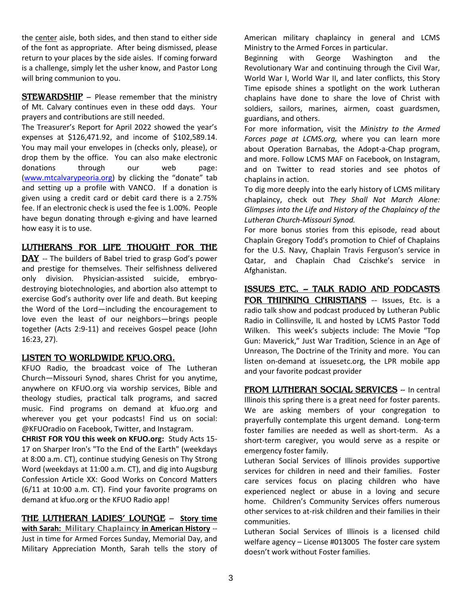the center aisle, both sides, and then stand to either side of the font as appropriate. After being dismissed, please return to your places by the side aisles. If coming forward is a challenge, simply let the usher know, and Pastor Long will bring communion to you.

**STEWARDSHIP** – Please remember that the ministry of Mt. Calvary continues even in these odd days. Your prayers and contributions are still needed.

The Treasurer's Report for April 2022 showed the year's expenses at \$126,471.92, and income of \$102,589.14. You may mail your envelopes in (checks only, please), or drop them by the office. You can also make electronic donations through our web page: [\(www.mtcalvarypeoria.org](http://www.mtcalvarypeoria.org/)) by clicking the "donate" tab and setting up a profile with VANCO. If a donation is given using a credit card or debit card there is a 2.75% fee. If an electronic check is used the fee is 1.00%. People have begun donating through e-giving and have learned how easy it is to use.

### **LUTHERANS FOR LIFE THOUGHT FOR THE**

**DAY** -- The builders of Babel tried to grasp God's power and prestige for themselves. Their selfishness delivered only division. Physician-assisted suicide, embryodestroying biotechnologies, and abortion also attempt to exercise God's authority over life and death. But keeping the Word of the Lord—including the encouragement to love even the least of our neighbors—brings people together (Acts 2:9-11) and receives Gospel peace (John 16:23, 27).

#### **LISTEN TO WORLDWIDE KFUO.ORG.**

KFUO Radio, the broadcast voice of The Lutheran Church—Missouri Synod, shares Christ for you anytime, anywhere on KFUO.org via worship services, Bible and theology studies, practical talk programs, and sacred music. Find programs on demand at [kfuo.org](https://kfuo.us19.list-manage.com/track/click?u=54af661ed49340a315983cb13&id=23f436d69c&e=9f5cc2cb8c) and wherever you get your podcasts! Find us **on** social: @KFUOradio on [Facebook,](https://kfuo.us19.list-manage.com/track/click?u=54af661ed49340a315983cb13&id=a1af9c142f&e=9f5cc2cb8c) [Twitter,](https://kfuo.us19.list-manage.com/track/click?u=54af661ed49340a315983cb13&id=da6b9900e0&e=9f5cc2cb8c) and [Instagram.](https://kfuo.us19.list-manage.com/track/click?u=54af661ed49340a315983cb13&id=baa10b7b13&e=9f5cc2cb8c)

**CHRIST FOR YOU this week on KFUO.org:** Study Acts 15- 17 on Sharper Iron's "To the End of the Earth" (weekdays at 8:00 a.m. CT), continue studying Genesis on Thy Strong Word (weekdays at 11:00 a.m. CT), and dig into Augsburg Confession Article XX: Good Works on Concord Matters (6/11 at 10:00 a.m. CT). Find your favorite programs on demand at kfuo.org or the KFUO Radio app!

**[THE LUTHERAN LADIES' LOUNGE](https://www.kfuo.org/2022/04/08/lutheran-ladies-lounge-episode-132-wild-card-easter-egg-traditions-around-the-globe/)** – **Story time with Sarah:** Military Chaplaincy **in American History** -- Just in time for Armed Forces Sunday, Memorial Day, and Military Appreciation Month, Sarah tells the story of

American military chaplaincy in general and LCMS Ministry to the Armed Forces in particular.

Beginning with George Washington and the Revolutionary War and continuing through the Civil War, World War I, World War II, and later conflicts, this Story Time episode shines a spotlight on the work Lutheran chaplains have done to share the love of Christ with soldiers, sailors, marines, airmen, coast guardsmen, guardians, and others.

For more information, visit the *[Ministry to the Armed](https://www.lcms.org/ministry-to-the-armed-forces)  [Forces page at LCMS.org,](https://www.lcms.org/ministry-to-the-armed-forces)* where you can learn more about Operation Barnabas, the Adopt-a-Chap program, and more. Follow LCMS MAF [on Facebook,](https://www.facebook.com/MinistryArmedForces.LCMS) [on Instagram,](https://www.instagram.com/lcmsmaf/) and [on Twitter](https://twitter.com/lcmsmaf) to read stories and see photos of chaplains in action.

To dig more deeply into the early history of LCMS military chaplaincy, check out *[They Shall Not March Alone:](https://www.amazon.com/They-Shall-March-Alone-Church-Missouri/dp/0570042453/ref=sr_1_1?crid=1NLEC8AU945GV&keywords=they+shall+not+march+alone+chaplain&qid=1653654568&rnid=2941120011&s=books&sprefix=they+shall+not+march+alone+chaplain%2Caps%2C91&sr=1-1)  [Glimpses into the Life and History of the Chaplaincy of the](https://www.amazon.com/They-Shall-March-Alone-Church-Missouri/dp/0570042453/ref=sr_1_1?crid=1NLEC8AU945GV&keywords=they+shall+not+march+alone+chaplain&qid=1653654568&rnid=2941120011&s=books&sprefix=they+shall+not+march+alone+chaplain%2Caps%2C91&sr=1-1)  [Lutheran Church-Missouri Synod.](https://www.amazon.com/They-Shall-March-Alone-Church-Missouri/dp/0570042453/ref=sr_1_1?crid=1NLEC8AU945GV&keywords=they+shall+not+march+alone+chaplain&qid=1653654568&rnid=2941120011&s=books&sprefix=they+shall+not+march+alone+chaplain%2Caps%2C91&sr=1-1)*

For more bonus stories from this episode, read about [Chaplain Gregory Todd's promotion to Chief of Chaplains](https://reporter.lcms.org/2022/todd-promoted-to-chief-of-chaplains/) for the U.S. Navy, [Chaplain Travis Fer](https://www.csl.edu/2021/12/serving-in-the-middle/)guson's service in [Qatar,](https://www.csl.edu/2021/12/serving-in-the-middle/) and [Chaplain Chad Czischke's service in](https://engage.lcms.org/chaplain-spring-2021/)  [Afghanistan.](https://engage.lcms.org/chaplain-spring-2021/)

**ISSUES ETC. -- TALK RADIO AND PODCASTS FOR THINKING CHRISTIANS** -- Issues, Etc. is a radio talk show and podcast produced by Lutheran Public Radio in Collinsville, IL and hosted by LCMS Pastor Todd Wilken. This week's subjects include: The Movie "Top Gun: Maverick," Just War Tradition, Science in an Age of Unreason, The Doctrine of the Trinity and more. You can listen on-demand at issuesetc.org, the LPR mobile app and your favorite podcast provider

FROM LUTHERAN SOCIAL SERVICES -- In central Illinois this spring there is a great need for foster parents. We are asking members of your congregation to prayerfully contemplate this urgent demand. Long-term foster families are needed as well as short-term. As a short-term caregiver, you would serve as a respite or emergency foster family.

Lutheran Social Services of Illinois provides supportive services for children in need and their families. Foster care services focus on placing children who have experienced neglect or abuse in a loving and secure home. Children's Community Services offers numerous other services to at-risk children and their families in their communities.

Lutheran Social Services of Illinois is a licensed child welfare agency – License #013005 The foster care system doesn't work without Foster families.